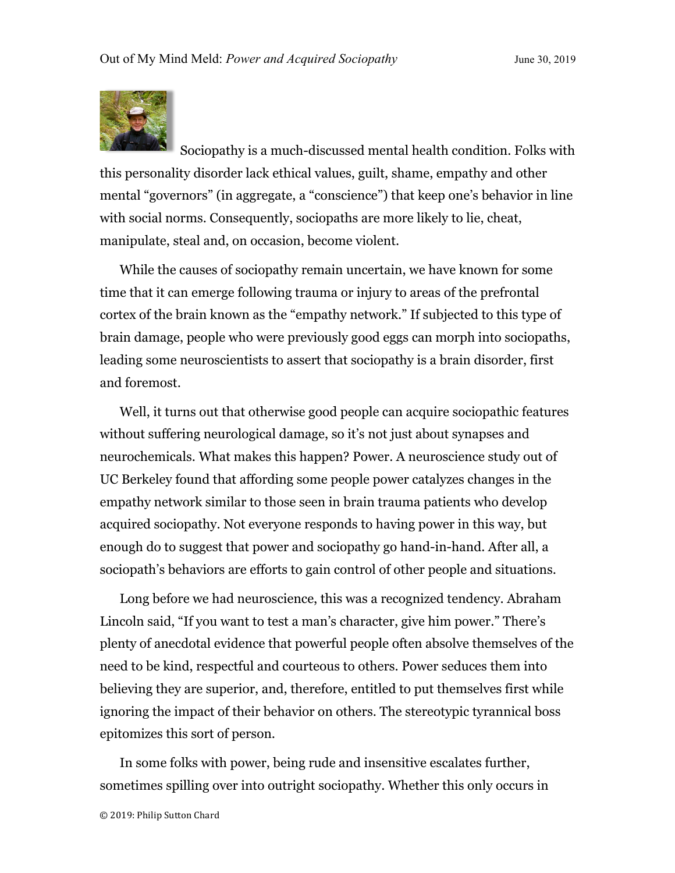

Sociopathy is a much-discussed mental health condition. Folks with this personality disorder lack ethical values, guilt, shame, empathy and other mental "governors" (in aggregate, a "conscience") that keep one's behavior in line with social norms. Consequently, sociopaths are more likely to lie, cheat, manipulate, steal and, on occasion, become violent.

While the causes of sociopathy remain uncertain, we have known for some time that it can emerge following trauma or injury to areas of the prefrontal cortex of the brain known as the "empathy network." If subjected to this type of brain damage, people who were previously good eggs can morph into sociopaths, leading some neuroscientists to assert that sociopathy is a brain disorder, first and foremost.

Well, it turns out that otherwise good people can acquire sociopathic features without suffering neurological damage, so it's not just about synapses and neurochemicals. What makes this happen? Power. A neuroscience study out of UC Berkeley found that affording some people power catalyzes changes in the empathy network similar to those seen in brain trauma patients who develop acquired sociopathy. Not everyone responds to having power in this way, but enough do to suggest that power and sociopathy go hand-in-hand. After all, a sociopath's behaviors are efforts to gain control of other people and situations.

Long before we had neuroscience, this was a recognized tendency. Abraham Lincoln said, "If you want to test a man's character, give him power." There's plenty of anecdotal evidence that powerful people often absolve themselves of the need to be kind, respectful and courteous to others. Power seduces them into believing they are superior, and, therefore, entitled to put themselves first while ignoring the impact of their behavior on others. The stereotypic tyrannical boss epitomizes this sort of person.

In some folks with power, being rude and insensitive escalates further, sometimes spilling over into outright sociopathy. Whether this only occurs in